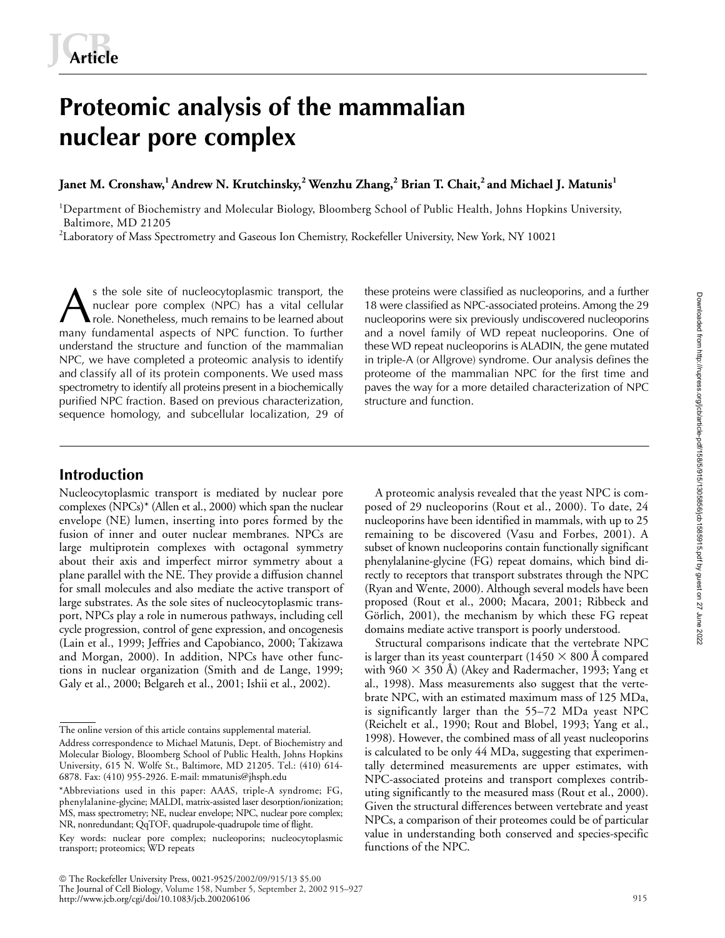# **Proteomic analysis of the mammalian nuclear pore complex**

**Janet M. Cronshaw,1 Andrew N. Krutchinsky,2 Wenzhu Zhang,<sup>2</sup> Brian T. Chait,2 and Michael J. Matunis1**

<sup>1</sup>Department of Biochemistry and Molecular Biology, Bloomberg School of Public Health, Johns Hopkins University, Baltimore, MD 21205

 $^2$ Laboratory of Mass Spectrometry and Gaseous Ion Chemistry, Rockefeller University, New York, NY 10021

s the sole site of nucleocytoplasmic transport, the these proteins were classified as nucleoporins, and a further<br>
A nuclear pore complex (NPC) has a vital cellular 18 were classified as NPC-associated proteins. Among the nuclear pore complex (NPC) has a vital cellular role. Nonetheless, much remains to be learned about many fundamental aspects of NPC function. To further understand the structure and function of the mammalian NPC, we have completed a proteomic analysis to identify and classify all of its protein components. We used mass spectrometry to identify all proteins present in a biochemically purified NPC fraction. Based on previous characterization, sequence homology, and subcellular localization, 29 of

18 were classified as NPC-associated proteins. Among the 29 nucleoporins were six previously undiscovered nucleoporins and a novel family of WD repeat nucleoporins. One of these WD repeat nucleoporins is ALADIN, the gene mutated in triple-A (or Allgrove) syndrome. Our analysis defines the proteome of the mammalian NPC for the first time and paves the way for a more detailed characterization of NPC structure and function.

# **Introduction**

Nucleocytoplasmic transport is mediated by nuclear pore complexes (NPCs)\* (Allen et al., 2000) which span the nuclear envelope (NE) lumen, inserting into pores formed by the fusion of inner and outer nuclear membranes. NPCs are large multiprotein complexes with octagonal symmetry about their axis and imperfect mirror symmetry about a plane parallel with the NE. They provide a diffusion channel for small molecules and also mediate the active transport of large substrates. As the sole sites of nucleocytoplasmic transport, NPCs play a role in numerous pathways, including cell cycle progression, control of gene expression, and oncogenesis (Lain et al., 1999; Jeffries and Capobianco, 2000; Takizawa and Morgan, 2000). In addition, NPCs have other functions in nuclear organization (Smith and de Lange, 1999; Galy et al., 2000; Belgareh et al., 2001; Ishii et al., 2002).

A proteomic analysis revealed that the yeast NPC is composed of 29 nucleoporins (Rout et al., 2000). To date, 24 nucleoporins have been identified in mammals, with up to 25 remaining to be discovered (Vasu and Forbes, 2001). A subset of known nucleoporins contain functionally significant phenylalanine-glycine (FG) repeat domains, which bind directly to receptors that transport substrates through the NPC (Ryan and Wente, 2000). Although several models have been proposed (Rout et al., 2000; Macara, 2001; Ribbeck and Görlich, 2001), the mechanism by which these FG repeat domains mediate active transport is poorly understood.

Structural comparisons indicate that the vertebrate NPC is larger than its yeast counterpart (1450  $\times$  800 Å compared with 960  $\times$  350 Å) (Akey and Radermacher, 1993; Yang et al., 1998). Mass measurements also suggest that the vertebrate NPC, with an estimated maximum mass of 125 MDa, is significantly larger than the 55–72 MDa yeast NPC (Reichelt et al., 1990; Rout and Blobel, 1993; Yang et al., 1998). However, the combined mass of all yeast nucleoporins is calculated to be only 44 MDa, suggesting that experimentally determined measurements are upper estimates, with NPC-associated proteins and transport complexes contributing significantly to the measured mass (Rout et al., 2000). Given the structural differences between vertebrate and yeast NPCs, a comparison of their proteomes could be of particular value in understanding both conserved and species-specific functions of the NPC.

The online version of this article contains supplemental material.

Address correspondence to Michael Matunis, Dept. of Biochemistry and Molecular Biology, Bloomberg School of Public Health, Johns Hopkins University, 615 N. Wolfe St., Baltimore, MD 21205. Tel.: (410) 614- 6878. Fax: (410) 955-2926. E-mail: mmatunis@jhsph.edu

<sup>\*</sup>Abbreviations used in this paper: AAAS, triple-A syndrome; FG, phenylalanine-glycine; MALDI, matrix-assisted laser desorption/ionization; MS, mass spectrometry; NE, nuclear envelope; NPC, nuclear pore complex; NR, nonredundant; QqTOF, quadrupole-quadrupole time of flight.

Key words: nuclear pore complex; nucleoporins; nucleocytoplasmic transport; proteomics; WD repeats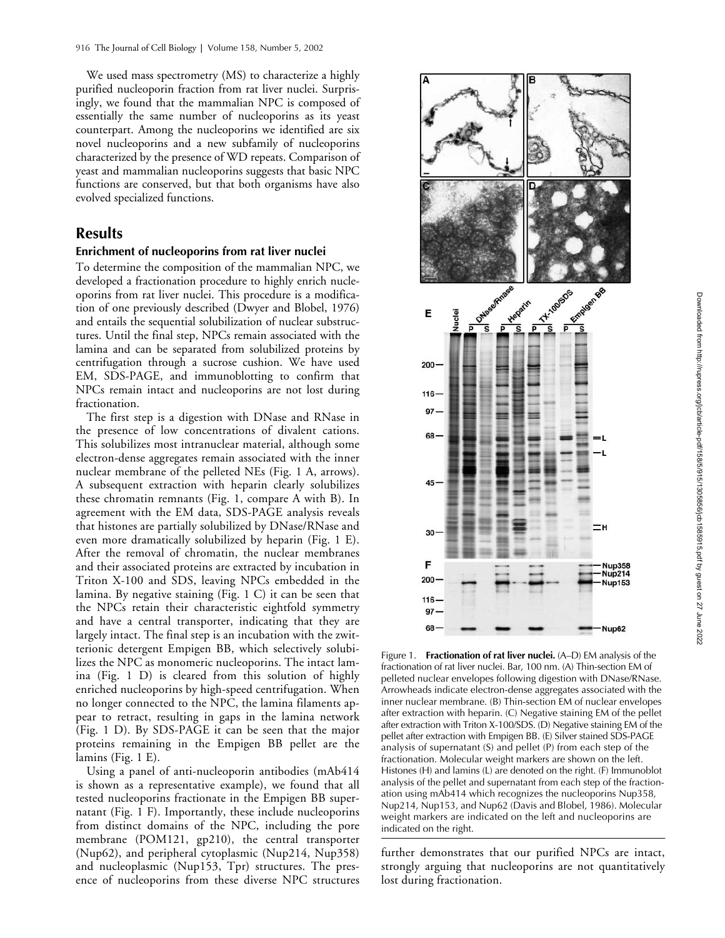We used mass spectrometry (MS) to characterize a highly purified nucleoporin fraction from rat liver nuclei. Surprisingly, we found that the mammalian NPC is composed of essentially the same number of nucleoporins as its yeast counterpart. Among the nucleoporins we identified are six novel nucleoporins and a new subfamily of nucleoporins characterized by the presence of WD repeats. Comparison of yeast and mammalian nucleoporins suggests that basic NPC functions are conserved, but that both organisms have also evolved specialized functions.

# **Results**

## **Enrichment of nucleoporins from rat liver nuclei**

To determine the composition of the mammalian NPC, we developed a fractionation procedure to highly enrich nucleoporins from rat liver nuclei. This procedure is a modification of one previously described (Dwyer and Blobel, 1976) and entails the sequential solubilization of nuclear substructures. Until the final step, NPCs remain associated with the lamina and can be separated from solubilized proteins by centrifugation through a sucrose cushion. We have used EM, SDS-PAGE, and immunoblotting to confirm that NPCs remain intact and nucleoporins are not lost during fractionation.

The first step is a digestion with DNase and RNase in the presence of low concentrations of divalent cations. This solubilizes most intranuclear material, although some electron-dense aggregates remain associated with the inner nuclear membrane of the pelleted NEs (Fig. 1 A, arrows). A subsequent extraction with heparin clearly solubilizes these chromatin remnants (Fig. 1, compare A with B). In agreement with the EM data, SDS-PAGE analysis reveals that histones are partially solubilized by DNase/RNase and even more dramatically solubilized by heparin (Fig. 1 E). After the removal of chromatin, the nuclear membranes and their associated proteins are extracted by incubation in Triton X-100 and SDS, leaving NPCs embedded in the lamina. By negative staining (Fig. 1 C) it can be seen that the NPCs retain their characteristic eightfold symmetry and have a central transporter, indicating that they are largely intact. The final step is an incubation with the zwitterionic detergent Empigen BB, which selectively solubilizes the NPC as monomeric nucleoporins. The intact lamina (Fig. 1 D) is cleared from this solution of highly enriched nucleoporins by high-speed centrifugation. When no longer connected to the NPC, the lamina filaments appear to retract, resulting in gaps in the lamina network (Fig. 1 D). By SDS-PAGE it can be seen that the major proteins remaining in the Empigen BB pellet are the lamins (Fig. 1 E).

Using a panel of anti-nucleoporin antibodies (mAb414 is shown as a representative example), we found that all tested nucleoporins fractionate in the Empigen BB supernatant (Fig. 1 F). Importantly, these include nucleoporins from distinct domains of the NPC, including the pore membrane (POM121, gp210), the central transporter (Nup62), and peripheral cytoplasmic (Nup214, Nup358) and nucleoplasmic (Nup153, Tpr) structures. The presence of nucleoporins from these diverse NPC structures



Figure 1. **Fractionation of rat liver nuclei.** (A–D) EM analysis of the fractionation of rat liver nuclei. Bar, 100 nm. (A) Thin-section EM of pelleted nuclear envelopes following digestion with DNase/RNase. Arrowheads indicate electron-dense aggregates associated with the inner nuclear membrane. (B) Thin-section EM of nuclear envelopes after extraction with heparin. (C) Negative staining EM of the pellet after extraction with Triton X-100/SDS. (D) Negative staining EM of the pellet after extraction with Empigen BB. (E) Silver stained SDS-PAGE analysis of supernatant (S) and pellet (P) from each step of the fractionation. Molecular weight markers are shown on the left. Histones (H) and lamins (L) are denoted on the right. (F) Immunoblot analysis of the pellet and supernatant from each step of the fractionation using mAb414 which recognizes the nucleoporins Nup358, Nup214, Nup153, and Nup62 (Davis and Blobel, 1986). Molecular weight markers are indicated on the left and nucleoporins are indicated on the right.

further demonstrates that our purified NPCs are intact, strongly arguing that nucleoporins are not quantitatively lost during fractionation.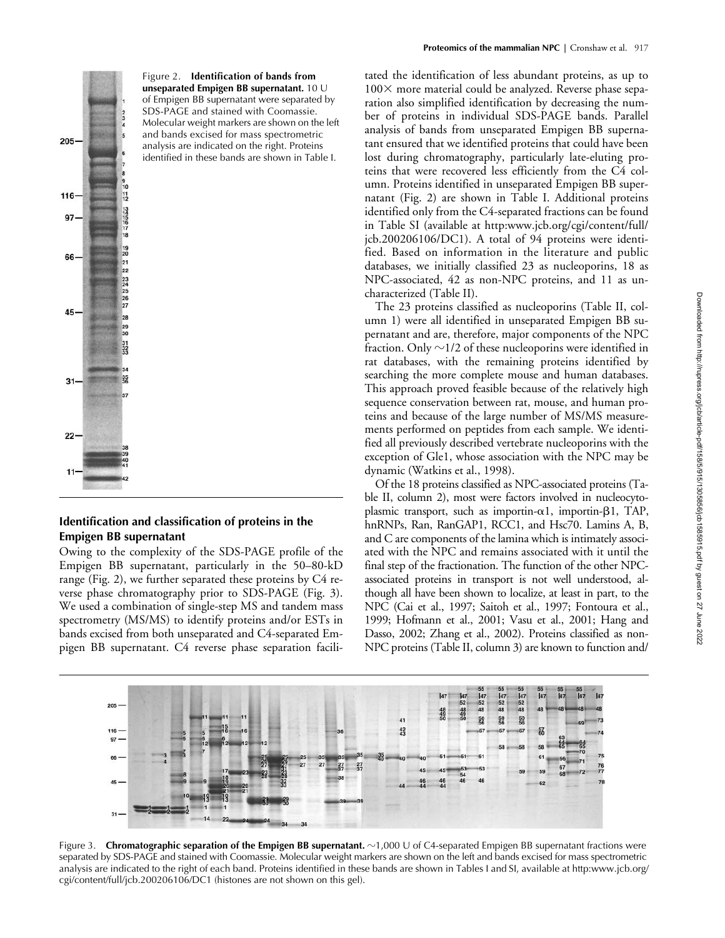

# **Identification and classification of proteins in the Empigen BB supernatant**

Owing to the complexity of the SDS-PAGE profile of the Empigen BB supernatant, particularly in the 50–80-kD range (Fig. 2), we further separated these proteins by C4 reverse phase chromatography prior to SDS-PAGE (Fig. 3). We used a combination of single-step MS and tandem mass spectrometry (MS/MS) to identify proteins and/or ESTs in bands excised from both unseparated and C4-separated Empigen BB supernatant. C4 reverse phase separation facilitated the identification of less abundant proteins, as up to  $100\times$  more material could be analyzed. Reverse phase separation also simplified identification by decreasing the number of proteins in individual SDS-PAGE bands. Parallel analysis of bands from unseparated Empigen BB supernatant ensured that we identified proteins that could have been lost during chromatography, particularly late-eluting proteins that were recovered less efficiently from the C4 column. Proteins identified in unseparated Empigen BB supernatant (Fig. 2) are shown in Table I. Additional proteins identified only from the C4-separated fractions can be found in Table SI (available at http:www.jcb.org/cgi/content/full/ jcb.200206106/DC1). A total of 94 proteins were identified. Based on information in the literature and public databases, we initially classified 23 as nucleoporins, 18 as NPC-associated, 42 as non-NPC proteins, and 11 as uncharacterized (Table II).

The 23 proteins classified as nucleoporins (Table II, column 1) were all identified in unseparated Empigen BB supernatant and are, therefore, major components of the NPC fraction. Only  ${\sim}$ 1/2 of these nucleoporins were identified in rat databases, with the remaining proteins identified by searching the more complete mouse and human databases. This approach proved feasible because of the relatively high sequence conservation between rat, mouse, and human proteins and because of the large number of MS/MS measurements performed on peptides from each sample. We identified all previously described vertebrate nucleoporins with the exception of Gle1, whose association with the NPC may be dynamic (Watkins et al., 1998).

Of the 18 proteins classified as NPC-associated proteins (Table II, column 2), most were factors involved in nucleocytoplasmic transport, such as importin- $\alpha$ 1, importin- $\beta$ 1, TAP, hnRNPs, Ran, RanGAP1, RCC1, and Hsc70. Lamins A, B, and C are components of the lamina which is intimately associated with the NPC and remains associated with it until the final step of the fractionation. The function of the other NPCassociated proteins in transport is not well understood, although all have been shown to localize, at least in part, to the NPC (Cai et al., 1997; Saitoh et al., 1997; Fontoura et al., 1999; Hofmann et al., 2001; Vasu et al., 2001; Hang and Dasso, 2002; Zhang et al., 2002). Proteins classified as non-NPC proteins (Table II, column 3) are known to function and/



Figure 3. Chromatographic separation of the Empigen BB supernatant. ~1,000 U of C4-separated Empigen BB supernatant fractions were separated by SDS-PAGE and stained with Coomassie. Molecular weight markers are shown on the left and bands excised for mass spectrometric analysis are indicated to the right of each band. Proteins identified in these bands are shown in Tables I and SI, available at http:www.jcb.org/ cgi/content/full/jcb.200206106/DC1 (histones are not shown on this gel).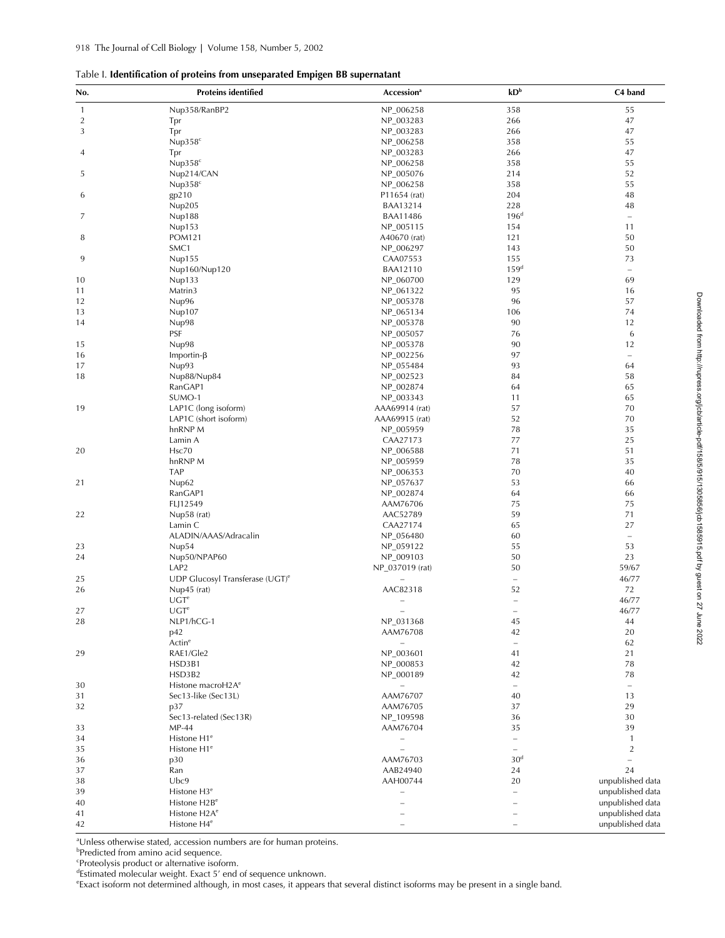## Table I. **Identification of proteins from unseparated Empigen BB supernatant**

| No.            | <b>Proteins identified</b>                  | Accession <sup>a</sup>   | kD <sup>b</sup>          | C4 band          |
|----------------|---------------------------------------------|--------------------------|--------------------------|------------------|
| $\mathbf{1}$   | Nup358/RanBP2                               | NP_006258                | 358                      | 55               |
| $\overline{2}$ | Tpr                                         | NP_003283                | 266                      | 47               |
| 3              | Tpr                                         | NP_003283                | 266                      | 47               |
|                | Nup $358^{\circ}$                           | NP_006258                | 358                      | 55               |
| 4              | Tpr                                         | NP_003283                | 266                      | 47               |
|                | Nup358 <sup>c</sup>                         | NP_006258                | 358                      | 55               |
|                |                                             |                          | 214                      | 52               |
| 5              | Nup214/CAN                                  | NP_005076                |                          |                  |
|                | Nup358 <sup>c</sup>                         | NP_006258                | 358                      | 55               |
| 6              | gp210                                       | P11654 (rat)             | 204                      | 48               |
|                | Nup205                                      | BAA13214                 | 228                      | 48               |
| 7              | Nup188                                      | <b>BAA11486</b>          | 196 <sup>d</sup>         | $\equiv$         |
|                | Nup153                                      | NP_005115                | 154                      | 11               |
| 8              | <b>POM121</b>                               | A40670 (rat)             | 121                      | 50               |
|                | SMC1                                        | NP_006297                | 143                      | 50               |
| 9              | Nup155                                      | CAA07553                 | 155                      | 73               |
|                | Nup160/Nup120                               | <b>BAA12110</b>          | 159 <sup>d</sup>         | $\equiv$         |
| 10             | Nup133                                      | NP_060700                | 129                      | 69               |
| 11             | Matrin3                                     | NP_061322                | 95                       | 16               |
| 12             | Nup96                                       | NP_005378                | 96                       | 57               |
|                |                                             |                          |                          | 74               |
| 13             | Nup107                                      | NP_065134                | 106                      |                  |
| 14             | Nup98                                       | NP_005378                | 90                       | 12               |
|                | PSF                                         | NP_005057                | 76                       | 6                |
| 15             | Nup98                                       | NP_005378                | 90                       | 12               |
| 16             | Importin- $\beta$                           | NP_002256                | 97                       | $\equiv$         |
| 17             | Nup93                                       | NP_055484                | 93                       | 64               |
| 18             | Nup88/Nup84                                 | NP_002523                | 84                       | 58               |
|                | RanGAP1                                     | NP_002874                | 64                       | 65               |
|                | SUMO-1                                      | NP_003343                | 11                       | 65               |
| 19             | LAP1C (long isoform)                        | AAA69914 (rat)           | 57                       | 70               |
|                | LAP1C (short isoform)                       | AAA69915 (rat)           | 52                       | 70               |
|                | hnRNP M                                     | NP_005959                | 78                       | 35               |
|                |                                             |                          | 77                       | 25               |
|                | Lamin A                                     | CAA27173                 |                          |                  |
| 20             | Hsc70                                       | NP_006588                | 71                       | 51               |
|                | hnRNP M                                     | NP_005959                | 78                       | 35               |
|                | TAP                                         | NP_006353                | 70                       | 40               |
| 21             | Nup62                                       | NP_057637                | 53                       | 66               |
|                | RanGAP1                                     | NP_002874                | 64                       | 66               |
|                | FLJ12549                                    | AAM76706                 | 75                       | 75               |
| 22             | Nup58 (rat)                                 | AAC52789                 | 59                       | 71               |
|                | Lamin C                                     | CAA27174                 | 65                       | 27               |
|                | ALADIN/AAAS/Adracalin                       | NP_056480                | 60                       | $\equiv$         |
| 23             | Nup54                                       | NP_059122                | 55                       | 53               |
| 24             | Nup50/NPAP60                                | NP_009103                | 50                       | 23               |
|                | LAP <sub>2</sub>                            | NP_037019 (rat)          | 50                       | 59/67            |
| 25             | UDP Glucosyl Transferase (UGT) <sup>e</sup> |                          | $\equiv$                 | 46/77            |
|                |                                             |                          |                          |                  |
| 26             | Nup45 (rat)                                 | AAC82318                 | 52                       | 72               |
|                | UGT <sup>e</sup>                            | L,                       | $\overline{\phantom{a}}$ | 46/77            |
| 27             | UGT <sup>e</sup>                            | Ē,                       | $\overline{\phantom{0}}$ | 46/77            |
| 28             | NLP1/hCG-1                                  | NP_031368                | 45                       | 44               |
|                | p42                                         | AAM76708                 | 42                       | 20               |
|                | Actin <sup>e</sup>                          | $\overline{\phantom{0}}$ | $\overline{\phantom{a}}$ | 62               |
| 29             | RAE1/Gle2                                   | NP_003601                | 41                       | 21               |
|                | HSD3B1                                      | NP_000853                | 42                       | 78               |
|                | HSD3B2                                      | NP_000189                | 42                       | 78               |
| 30             | Histone macroH2A <sup>e</sup>               | $\overline{\phantom{0}}$ | $\equiv$                 | $\equiv$         |
| 31             | Sec13-like (Sec13L)                         | AAM76707                 | 40                       | 13               |
| 32             | p37                                         | AAM76705                 | 37                       | 29               |
|                | Sec13-related (Sec13R)                      | NP_109598                | 36                       | 30               |
|                |                                             |                          |                          |                  |
| 33             | MP-44                                       | AAM76704                 | 35                       | 39               |
| 34             | Histone H1 <sup>e</sup>                     | Ē,                       | $\equiv$                 | $\mathbf{1}$     |
| 35             | Histone H1 <sup>e</sup>                     | $\overline{\phantom{0}}$ | $\overline{\phantom{0}}$ | $\overline{2}$   |
| 36             | p30                                         | AAM76703                 | 30 <sup>d</sup>          | $\equiv$         |
| 37             | Ran                                         | AAB24940                 | 24                       | 24               |
| 38             | Ubc9                                        | AAH00744                 | 20                       | unpublished data |
| 39             | Histone H3 <sup>e</sup>                     | Ē,                       | $\overline{\phantom{0}}$ | unpublished data |
| 40             | Histone H2B <sup>e</sup>                    |                          | $\equiv$                 | unpublished data |
| 41             | Histone H <sub>2</sub> A <sup>e</sup>       |                          |                          | unpublished data |
| 42             | Histone H4 <sup>e</sup>                     |                          |                          | unpublished data |

a Unless otherwise stated, accession numbers are for human proteins.

b Predicted from amino acid sequence.

c Proteolysis product or alternative isoform.

d Estimated molecular weight. Exact 5' end of sequence unknown.

e Exact isoform not determined although, in most cases, it appears that several distinct isoforms may be present in a single band.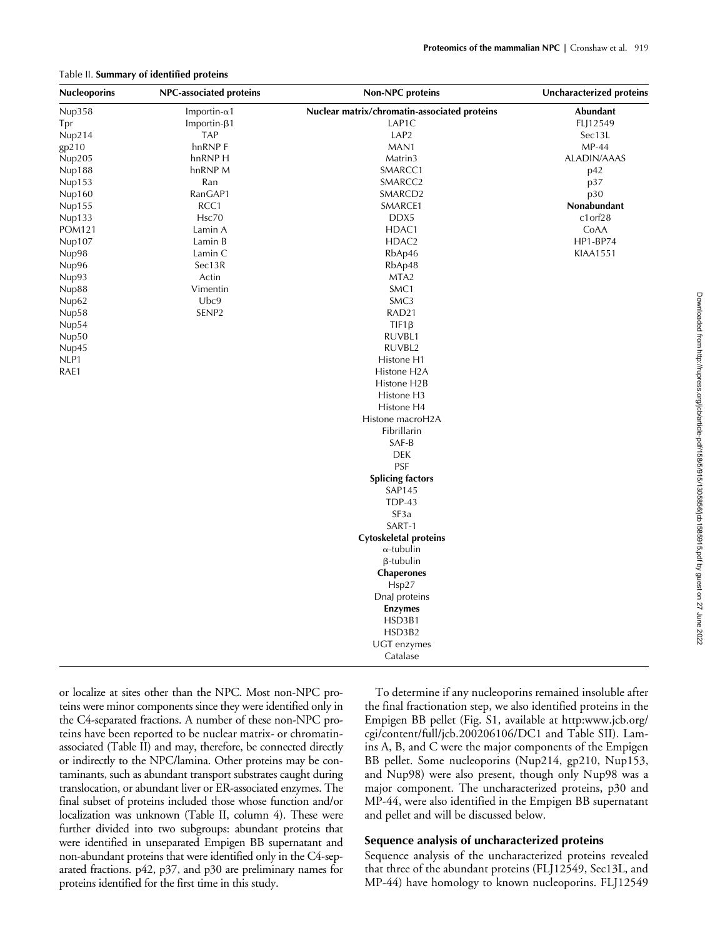#### Table II. **Summary of identified proteins**

| <b>Nucleoporins</b> | NPC-associated proteins | <b>Non-NPC proteins</b>                      | <b>Uncharacterized proteins</b> |
|---------------------|-------------------------|----------------------------------------------|---------------------------------|
| Nup358              | Importin- $\alpha$ 1    | Nuclear matrix/chromatin-associated proteins | Abundant                        |
| Tpr                 | $Importin-\beta1$       | LAP1C                                        | FLJ12549                        |
| Nup214              | <b>TAP</b>              | LAP <sub>2</sub>                             | Sec13L                          |
| gp210               | hnRNP F                 | MAN1                                         | $MP-44$                         |
| Nup205              | hnRNP H                 | Matrin3                                      | <b>ALADIN/AAAS</b>              |
| Nup188              | hnRNP M                 | SMARCC1                                      | p42                             |
| Nup153              | Ran                     | SMARCC2                                      | p37                             |
| Nup160              | RanGAP1                 | SMARCD <sub>2</sub>                          | p30                             |
| Nup155              | RCC1                    | SMARCE1                                      | Nonabundant                     |
| Nup133              | Hsc70                   | DDX5                                         | $c1$ or $f28$                   |
| <b>POM121</b>       | Lamin A                 | HDAC1                                        | CoAA                            |
| Nup107              | Lamin B                 | HDAC <sub>2</sub>                            | HP1-BP74                        |
| Nup98               | Lamin C                 | RbAp46                                       | <b>KIAA1551</b>                 |
| Nup96               | Sec13R                  | RbAp48                                       |                                 |
| Nup93               | Actin                   | MTA <sub>2</sub>                             |                                 |
| Nup88               | Vimentin                | SMC1                                         |                                 |
| Nup62               | Ubc9                    | SMC3                                         |                                 |
| Nup58               | SENP <sub>2</sub>       | RAD <sub>21</sub>                            |                                 |
| Nup54               |                         | $TIF1\beta$                                  |                                 |
| Nup50               |                         | RUVBL1                                       |                                 |
| Nup45               |                         | RUVBL2                                       |                                 |
| NLP1                |                         | Histone H1                                   |                                 |
| RAE1                |                         | Histone H <sub>2</sub> A                     |                                 |
|                     |                         | Histone H2B                                  |                                 |
|                     |                         | Histone H3                                   |                                 |
|                     |                         | Histone H4                                   |                                 |
|                     |                         | Histone macroH2A                             |                                 |
|                     |                         | Fibrillarin                                  |                                 |
|                     |                         | SAF-B                                        |                                 |
|                     |                         | <b>DEK</b>                                   |                                 |
|                     |                         | <b>PSF</b>                                   |                                 |
|                     |                         | <b>Splicing factors</b>                      |                                 |
|                     |                         | <b>SAP145</b>                                |                                 |
|                     |                         | <b>TDP-43</b>                                |                                 |
|                     |                         | SF <sub>3</sub> a                            |                                 |
|                     |                         | SART-1                                       |                                 |
|                     |                         | <b>Cytoskeletal proteins</b>                 |                                 |
|                     |                         | $\alpha$ -tubulin                            |                                 |
|                     |                         | $\beta$ -tubulin                             |                                 |
|                     |                         | <b>Chaperones</b>                            |                                 |
|                     |                         | Hsp27                                        |                                 |
|                     |                         | DnaJ proteins                                |                                 |
|                     |                         | <b>Enzymes</b>                               |                                 |
|                     |                         | HSD3B1                                       |                                 |
|                     |                         | HSD3B2                                       |                                 |
|                     |                         | UGT enzymes                                  |                                 |
|                     |                         | Catalase                                     |                                 |

or localize at sites other than the NPC. Most non-NPC proteins were minor components since they were identified only in the C4-separated fractions. A number of these non-NPC proteins have been reported to be nuclear matrix- or chromatinassociated (Table II) and may, therefore, be connected directly or indirectly to the NPC/lamina. Other proteins may be contaminants, such as abundant transport substrates caught during translocation, or abundant liver or ER-associated enzymes. The final subset of proteins included those whose function and/or localization was unknown (Table II, column 4). These were further divided into two subgroups: abundant proteins that were identified in unseparated Empigen BB supernatant and non-abundant proteins that were identified only in the C4-separated fractions. p42, p37, and p30 are preliminary names for proteins identified for the first time in this study.

To determine if any nucleoporins remained insoluble after the final fractionation step, we also identified proteins in the Empigen BB pellet (Fig. S1, available at http:www.jcb.org/ cgi/content/full/jcb.200206106/DC1 and Table SII). Lamins A, B, and C were the major components of the Empigen BB pellet. Some nucleoporins (Nup214, gp210, Nup153, and Nup98) were also present, though only Nup98 was a major component. The uncharacterized proteins, p30 and MP-44, were also identified in the Empigen BB supernatant and pellet and will be discussed below.

## **Sequence analysis of uncharacterized proteins**

Sequence analysis of the uncharacterized proteins revealed that three of the abundant proteins (FLJ12549, Sec13L, and MP-44) have homology to known nucleoporins. FLJ12549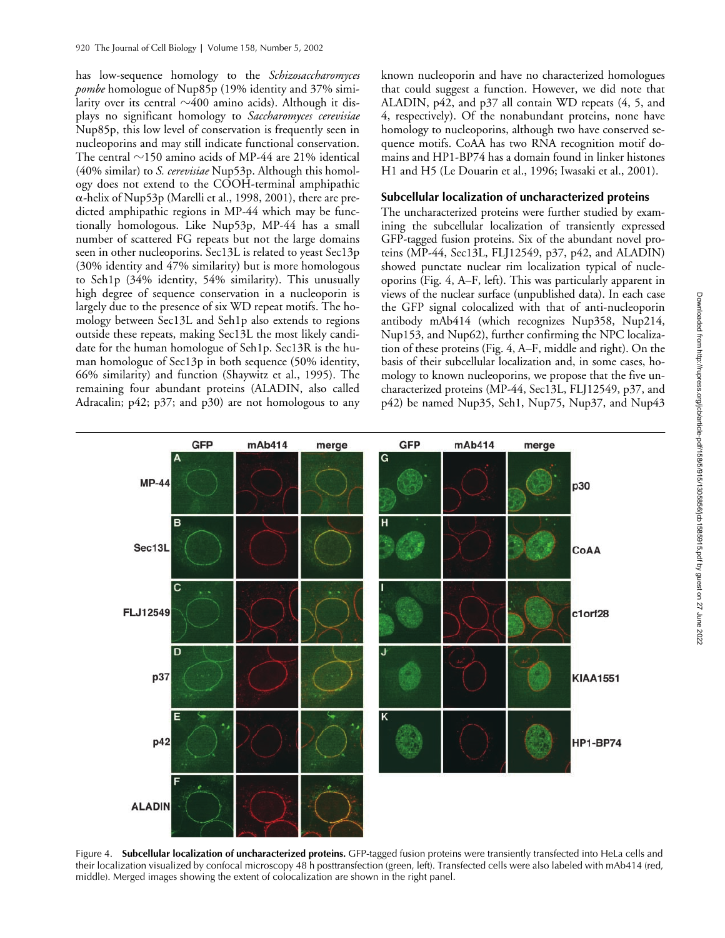has low-sequence homology to the *Schizosaccharomyces pombe* homologue of Nup85p (19% identity and 37% similarity over its central  ${\sim}400$  amino acids). Although it displays no significant homology to *Saccharomyces cerevisiae* Nup85p, this low level of conservation is frequently seen in nucleoporins and may still indicate functional conservation. The central  $\sim$ 150 amino acids of MP-44 are 21% identical (40% similar) to *S. cerevisiae* Nup53p. Although this homology does not extend to the COOH-terminal amphipathic  $\alpha$ -helix of Nup53p (Marelli et al., 1998, 2001), there are predicted amphipathic regions in MP-44 which may be functionally homologous. Like Nup53p, MP-44 has a small number of scattered FG repeats but not the large domains seen in other nucleoporins. Sec13L is related to yeast Sec13p (30% identity and 47% similarity) but is more homologous to Seh1p (34% identity, 54% similarity). This unusually high degree of sequence conservation in a nucleoporin is largely due to the presence of six WD repeat motifs. The homology between Sec13L and Seh1p also extends to regions outside these repeats, making Sec13L the most likely candidate for the human homologue of Seh1p. Sec13R is the human homologue of Sec13p in both sequence (50% identity, 66% similarity) and function (Shaywitz et al., 1995). The remaining four abundant proteins (ALADIN, also called Adracalin; p42; p37; and p30) are not homologous to any

known nucleoporin and have no characterized homologues that could suggest a function. However, we did note that ALADIN, p42, and p37 all contain WD repeats (4, 5, and 4, respectively). Of the nonabundant proteins, none have homology to nucleoporins, although two have conserved sequence motifs. CoAA has two RNA recognition motif domains and HP1-BP74 has a domain found in linker histones H1 and H5 (Le Douarin et al., 1996; Iwasaki et al., 2001).

### **Subcellular localization of uncharacterized proteins**

The uncharacterized proteins were further studied by examining the subcellular localization of transiently expressed GFP-tagged fusion proteins. Six of the abundant novel proteins (MP-44, Sec13L, FLJ12549, p37, p42, and ALADIN) showed punctate nuclear rim localization typical of nucleoporins (Fig. 4, A–F, left). This was particularly apparent in views of the nuclear surface (unpublished data). In each case the GFP signal colocalized with that of anti-nucleoporin antibody mAb414 (which recognizes Nup358, Nup214, Nup153, and Nup62), further confirming the NPC localization of these proteins (Fig. 4, A–F, middle and right). On the basis of their subcellular localization and, in some cases, homology to known nucleoporins, we propose that the five uncharacterized proteins (MP-44, Sec13L, FLJ12549, p37, and p42) be named Nup35, Seh1, Nup75, Nup37, and Nup43



Figure 4. **Subcellular localization of uncharacterized proteins.** GFP-tagged fusion proteins were transiently transfected into HeLa cells and their localization visualized by confocal microscopy 48 h posttransfection (green, left). Transfected cells were also labeled with mAb414 (red, middle). Merged images showing the extent of colocalization are shown in the right panel.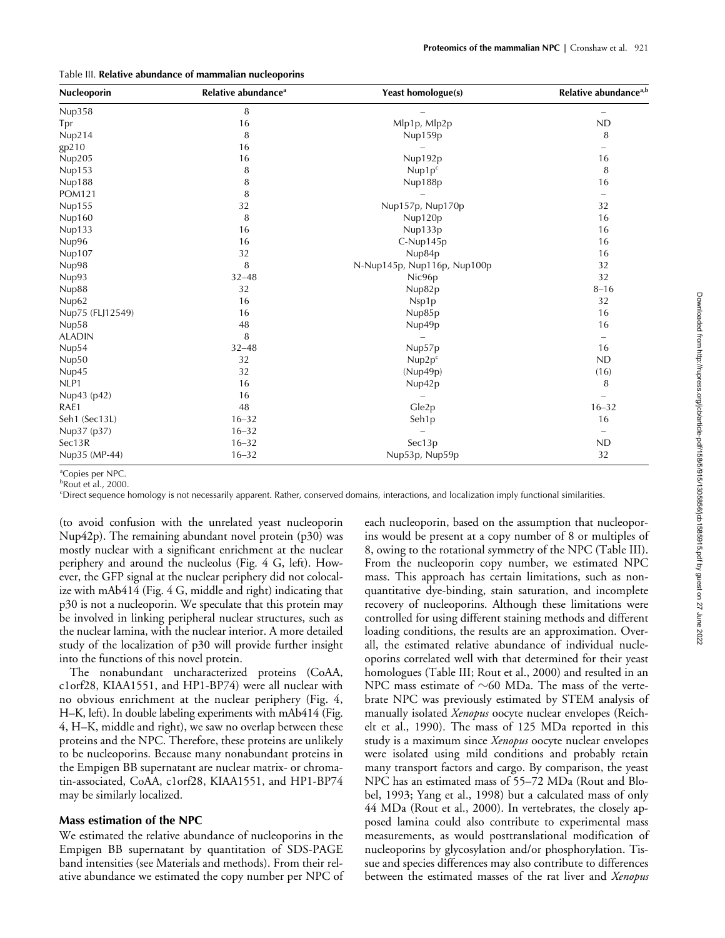#### Table III. **Relative abundance of mammalian nucleoporins**

| Nucleoporin      | Relative abundance <sup>a</sup> | <b>Yeast homologue(s)</b>   | Relative abundance <sup>a,b</sup> |
|------------------|---------------------------------|-----------------------------|-----------------------------------|
| Nup358           | 8                               |                             | -                                 |
| Tpr              | 16                              | Mlp1p, Mlp2p                | <b>ND</b>                         |
| Nup214           | 8                               | Nup159p                     | 8                                 |
| gp210            | 16                              |                             | $\overline{\phantom{0}}$          |
| Nup205           | 16                              | Nup192p                     | 16                                |
| Nup153           | 8                               | Nup1p <sup>c</sup>          | 8                                 |
| Nup188           | 8                               | Nup188p                     | 16                                |
| <b>POM121</b>    | 8                               |                             | $\overline{\phantom{0}}$          |
| Nup155           | 32                              | Nup157p, Nup170p            | 32                                |
| Nup160           | 8                               | Nup120p                     | 16                                |
| Nup133           | 16                              | Nup133p                     | 16                                |
| Nup96            | 16                              | C-Nup145p                   | 16                                |
| Nup107           | 32                              | Nup84p                      | 16                                |
| Nup98            | 8                               | N-Nup145p, Nup116p, Nup100p | 32                                |
| Nup93            | $32 - 48$                       | Nic96p                      | 32                                |
| Nup88            | 32                              | Nup82p                      | $8 - 16$                          |
| Nup62            | 16                              | Nsp1p                       | 32                                |
| Nup75 (FLJ12549) | 16                              | Nup85p                      | 16                                |
| Nup58            | 48                              | Nup49p                      | 16                                |
| <b>ALADIN</b>    | 8                               |                             | $\qquad \qquad -$                 |
| Nup54            | $32 - 48$                       | Nup57p                      | 16                                |
| Nup50            | 32                              | Nup2p <sup>c</sup>          | <b>ND</b>                         |
| Nup45            | 32                              | (Nup49p)                    | (16)                              |
| NLP1             | 16                              | Nup42p                      | 8                                 |
| Nup43 (p42)      | 16                              | $\overline{\phantom{0}}$    | $\overline{\phantom{0}}$          |
| RAE1             | 48                              | Gle2p                       | $16 - 32$                         |
| Seh1 (Sec13L)    | $16 - 32$                       | Seh1p                       | 16                                |
| Nup37 (p37)      | $16 - 32$                       |                             | $\overline{\phantom{0}}$          |
| Sec13R           | $16 - 32$                       | Sec13p                      | <b>ND</b>                         |
| Nup35 (MP-44)    | $16 - 32$                       | Nup53p, Nup59p              | 32                                |

<sup>a</sup>Copies per NPC.

b Rout et al., 2000.

c Direct sequence homology is not necessarily apparent. Rather, conserved domains, interactions, and localization imply functional similarities.

(to avoid confusion with the unrelated yeast nucleoporin Nup42p). The remaining abundant novel protein (p30) was mostly nuclear with a significant enrichment at the nuclear periphery and around the nucleolus (Fig. 4 G, left). However, the GFP signal at the nuclear periphery did not colocalize with mAb414 (Fig. 4 G, middle and right) indicating that p30 is not a nucleoporin. We speculate that this protein may be involved in linking peripheral nuclear structures, such as the nuclear lamina, with the nuclear interior. A more detailed study of the localization of p30 will provide further insight into the functions of this novel protein.

The nonabundant uncharacterized proteins (CoAA, c1orf28, KIAA1551, and HP1-BP74) were all nuclear with no obvious enrichment at the nuclear periphery (Fig. 4, H–K, left). In double labeling experiments with mAb414 (Fig. 4, H–K, middle and right), we saw no overlap between these proteins and the NPC. Therefore, these proteins are unlikely to be nucleoporins. Because many nonabundant proteins in the Empigen BB supernatant are nuclear matrix- or chromatin-associated, CoAA, c1orf28, KIAA1551, and HP1-BP74 may be similarly localized.

## **Mass estimation of the NPC**

We estimated the relative abundance of nucleoporins in the Empigen BB supernatant by quantitation of SDS-PAGE band intensities (see Materials and methods). From their relative abundance we estimated the copy number per NPC of

each nucleoporin, based on the assumption that nucleoporins would be present at a copy number of 8 or multiples of 8, owing to the rotational symmetry of the NPC (Table III). From the nucleoporin copy number, we estimated NPC mass. This approach has certain limitations, such as nonquantitative dye-binding, stain saturation, and incomplete recovery of nucleoporins. Although these limitations were controlled for using different staining methods and different loading conditions, the results are an approximation. Overall, the estimated relative abundance of individual nucleoporins correlated well with that determined for their yeast homologues (Table III; Rout et al., 2000) and resulted in an NPC mass estimate of  $\sim$ 60 MDa. The mass of the vertebrate NPC was previously estimated by STEM analysis of manually isolated *Xenopus* oocyte nuclear envelopes (Reichelt et al., 1990). The mass of 125 MDa reported in this study is a maximum since *Xenopus* oocyte nuclear envelopes were isolated using mild conditions and probably retain many transport factors and cargo. By comparison, the yeast NPC has an estimated mass of 55–72 MDa (Rout and Blobel, 1993; Yang et al., 1998) but a calculated mass of only 44 MDa (Rout et al., 2000). In vertebrates, the closely apposed lamina could also contribute to experimental mass measurements, as would posttranslational modification of nucleoporins by glycosylation and/or phosphorylation. Tissue and species differences may also contribute to differences between the estimated masses of the rat liver and *Xenopus*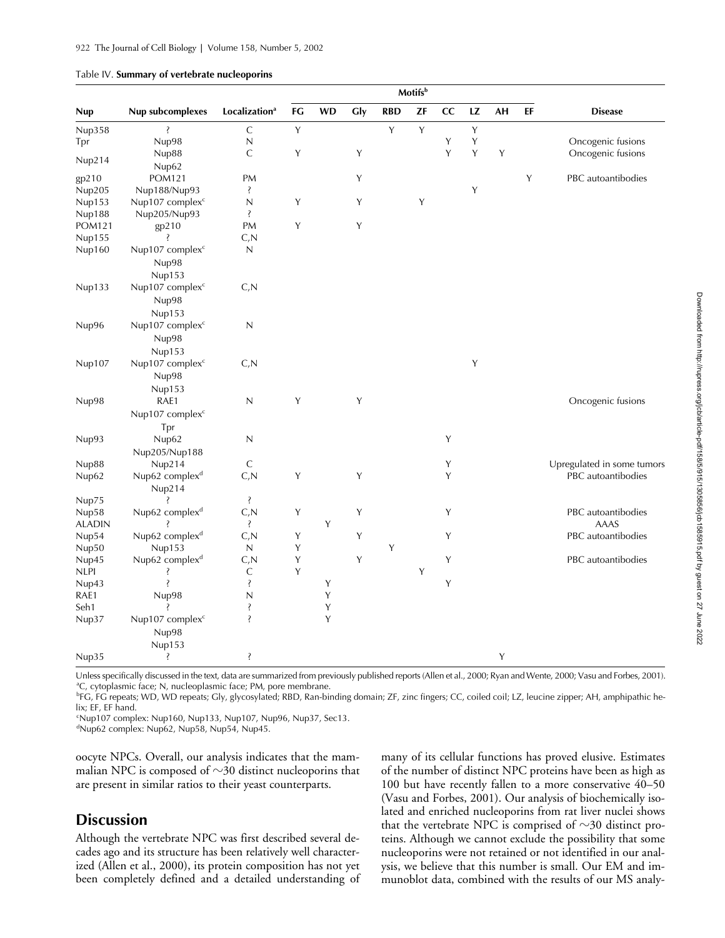|               |                                       |                           | Motifsb     |           |             |            |    |             |    |    |    |                            |
|---------------|---------------------------------------|---------------------------|-------------|-----------|-------------|------------|----|-------------|----|----|----|----------------------------|
| Nup           | Nup subcomplexes                      | Localization <sup>a</sup> | FG          | <b>WD</b> | Gly         | <b>RBD</b> | ZF | cc          | LZ | AH | EF | <b>Disease</b>             |
| Nup358        | Ş                                     | $\mathsf C$               | $\mathsf Y$ |           |             | Y          | Υ  |             | Y  |    |    |                            |
| Tpr           | Nup98                                 | N                         |             |           |             |            |    | Υ           | Y  |    |    | Oncogenic fusions          |
| Nup214        | Nup88<br>Nup62                        | $\mathsf{C}$              | Y           |           | Υ           |            |    | Y           | Y  | Y  |    | Oncogenic fusions          |
| gp210         | <b>POM121</b>                         | PM                        |             |           | Υ           |            |    |             |    |    | Y  | PBC autoantibodies         |
| Nup205        | Nup188/Nup93                          | Ş                         |             |           |             |            |    |             | Υ  |    |    |                            |
| Nup153        | Nup107 complex <sup>c</sup>           | $\mathbb N$               | Y           |           | $\mathsf Y$ |            | Υ  |             |    |    |    |                            |
| Nup188        | Nup205/Nup93                          | Ŝ                         |             |           |             |            |    |             |    |    |    |                            |
| POM121        | gp210                                 | PM                        | Y           |           | Υ           |            |    |             |    |    |    |                            |
| Nup155        | Ŝ                                     | C, N                      |             |           |             |            |    |             |    |    |    |                            |
| Nup160        | Nup107 complex <sup>c</sup>           | $\mathsf{N}$              |             |           |             |            |    |             |    |    |    |                            |
|               | Nup98                                 |                           |             |           |             |            |    |             |    |    |    |                            |
|               | Nup153                                |                           |             |           |             |            |    |             |    |    |    |                            |
| Nup133        | Nup107 complex <sup>c</sup>           | C, N                      |             |           |             |            |    |             |    |    |    |                            |
|               | Nup98                                 |                           |             |           |             |            |    |             |    |    |    |                            |
|               |                                       |                           |             |           |             |            |    |             |    |    |    |                            |
| Nup96         | Nup153<br>Nup107 complex <sup>c</sup> | $\mathsf N$               |             |           |             |            |    |             |    |    |    |                            |
|               |                                       |                           |             |           |             |            |    |             |    |    |    |                            |
|               | Nup98                                 |                           |             |           |             |            |    |             |    |    |    |                            |
|               | Nup153                                |                           |             |           |             |            |    |             |    |    |    |                            |
| Nup107        | Nup107 complex <sup>c</sup>           | C, N                      |             |           |             |            |    |             | Y  |    |    |                            |
|               | Nup98                                 |                           |             |           |             |            |    |             |    |    |    |                            |
|               | Nup153                                |                           |             |           |             |            |    |             |    |    |    |                            |
| Nup98         | RAE1                                  | N                         | Y           |           | Υ           |            |    |             |    |    |    | Oncogenic fusions          |
|               | Nup107 complex <sup>c</sup>           |                           |             |           |             |            |    |             |    |    |    |                            |
|               | Tpr                                   |                           |             |           |             |            |    |             |    |    |    |                            |
| Nup93         | Nup62                                 | $\mathsf N$               |             |           |             |            |    | Y           |    |    |    |                            |
|               | Nup205/Nup188                         |                           |             |           |             |            |    |             |    |    |    |                            |
| Nup88         | Nup214                                | $\mathsf{C}$              |             |           |             |            |    | Y           |    |    |    | Upregulated in some tumors |
| Nup62         | Nup62 complex <sup>d</sup>            | C, N                      | Y           |           | Υ           |            |    | Y           |    |    |    | PBC autoantibodies         |
|               | Nup214                                |                           |             |           |             |            |    |             |    |    |    |                            |
| Nup75         | Ş                                     | Ş                         |             |           |             |            |    |             |    |    |    |                            |
| Nup58         | Nup62 complex <sup>d</sup>            | C, N                      | $\mathsf Y$ |           | Y           |            |    | Y           |    |    |    | PBC autoantibodies         |
| <b>ALADIN</b> |                                       | <sup>2</sup>              |             | Y         |             |            |    |             |    |    |    | AAAS                       |
| Nup54         | Nup62 complex <sup>d</sup>            | C, N                      | Y           |           | Υ           |            |    | $\mathsf Y$ |    |    |    | PBC autoantibodies         |
| Nup50         | Nup153                                | $\mathsf{N}$              | Y           |           |             | Y          |    |             |    |    |    |                            |
| Nup45         | Nup62 complex <sup>d</sup>            | C, N                      | Y           |           | Y           |            |    | Y           |    |    |    | PBC autoantibodies         |
| <b>NLPI</b>   | Ŝ                                     | $\mathsf C$               | Υ           |           |             |            | Υ  |             |    |    |    |                            |
| Nup43         | Ş                                     | Ş                         |             | Υ         |             |            |    | $\mathsf Y$ |    |    |    |                            |
| RAE1          | Nup98                                 | $\overline{N}$            |             | Y         |             |            |    |             |    |    |    |                            |
| Seh1          | Ŝ                                     | Ş                         |             | Y         |             |            |    |             |    |    |    |                            |
| Nup37         | Nup107 complex <sup>c</sup>           | $\ddot{\cdot}$            |             | Y         |             |            |    |             |    |    |    |                            |
|               | Nup98                                 |                           |             |           |             |            |    |             |    |    |    |                            |
|               | Nup153                                |                           |             |           |             |            |    |             |    |    |    |                            |
| Nup35         | Ş                                     | Ş                         |             |           |             |            |    |             |    | Y  |    |                            |

| Table IV. Summary of vertebrate nucleoporins |  |  |
|----------------------------------------------|--|--|
|----------------------------------------------|--|--|

Unless specifically discussed in the text, data are summarized from previously published reports (Allen et al., 2000; Ryan and Wente, 2000; Vasu and Forbes, 2001). <sup>a</sup>C, cytoplasmic face; N, nucleoplasmic face; PM, pore membrane.

<sup>b</sup>FG, FG repeats; WD, WD repeats; Gly, glycosylated; RBD, Ran-binding domain; ZF, zinc fingers; CC, coiled coil; LZ, leucine zipper; AH, amphipathic helix; EF, EF hand.

c Nup107 complex: Nup160, Nup133, Nup107, Nup96, Nup37, Sec13.

d Nup62 complex: Nup62, Nup58, Nup54, Nup45.

oocyte NPCs. Overall, our analysis indicates that the mammalian NPC is composed of  $\sim$ 30 distinct nucleoporins that are present in similar ratios to their yeast counterparts.

# **Discussion**

Although the vertebrate NPC was first described several decades ago and its structure has been relatively well characterized (Allen et al., 2000), its protein composition has not yet been completely defined and a detailed understanding of many of its cellular functions has proved elusive. Estimates of the number of distinct NPC proteins have been as high as 100 but have recently fallen to a more conservative 40–50 (Vasu and Forbes, 2001). Our analysis of biochemically isolated and enriched nucleoporins from rat liver nuclei shows that the vertebrate NPC is comprised of  $\sim$ 30 distinct proteins. Although we cannot exclude the possibility that some nucleoporins were not retained or not identified in our analysis, we believe that this number is small. Our EM and immunoblot data, combined with the results of our MS analy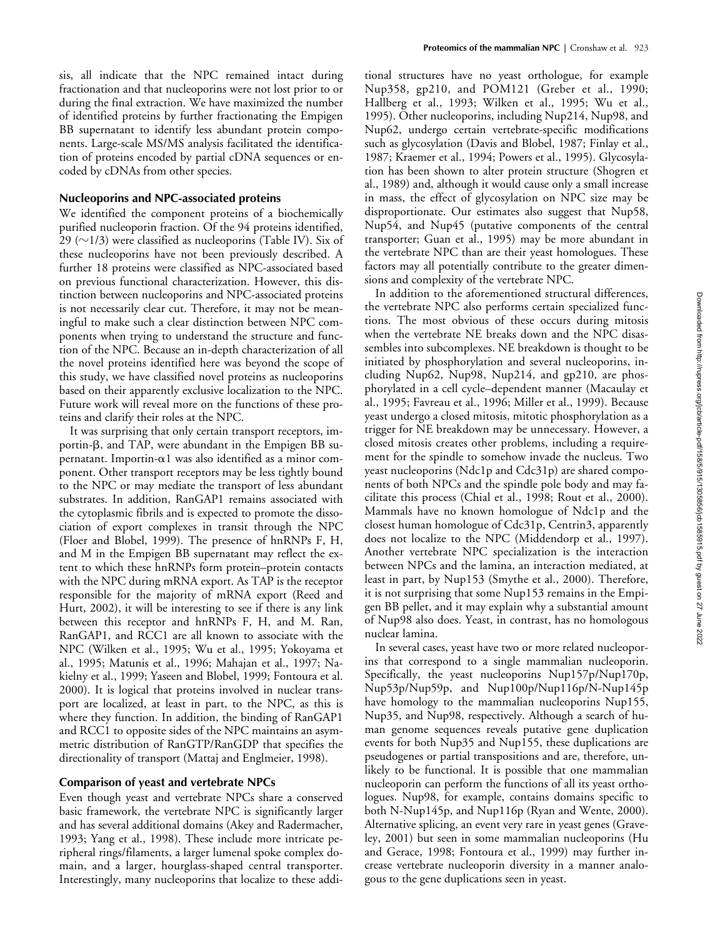sis, all indicate that the NPC remained intact during fractionation and that nucleoporins were not lost prior to or during the final extraction. We have maximized the number of identified proteins by further fractionating the Empigen BB supernatant to identify less abundant protein components. Large-scale MS/MS analysis facilitated the identification of proteins encoded by partial cDNA sequences or encoded by cDNAs from other species.

### **Nucleoporins and NPC-associated proteins**

We identified the component proteins of a biochemically purified nucleoporin fraction. Of the 94 proteins identified, 29 ( $\sim$ 1/3) were classified as nucleoporins (Table IV). Six of these nucleoporins have not been previously described. A further 18 proteins were classified as NPC-associated based on previous functional characterization. However, this distinction between nucleoporins and NPC-associated proteins is not necessarily clear cut. Therefore, it may not be meaningful to make such a clear distinction between NPC components when trying to understand the structure and function of the NPC. Because an in-depth characterization of all the novel proteins identified here was beyond the scope of this study, we have classified novel proteins as nucleoporins based on their apparently exclusive localization to the NPC. Future work will reveal more on the functions of these proteins and clarify their roles at the NPC.

It was surprising that only certain transport receptors, importin- $\beta$ , and TAP, were abundant in the Empigen BB supernatant. Importin- $\alpha$ 1 was also identified as a minor component. Other transport receptors may be less tightly bound to the NPC or may mediate the transport of less abundant substrates. In addition, RanGAP1 remains associated with the cytoplasmic fibrils and is expected to promote the dissociation of export complexes in transit through the NPC (Floer and Blobel, 1999). The presence of hnRNPs F, H, and M in the Empigen BB supernatant may reflect the extent to which these hnRNPs form protein–protein contacts with the NPC during mRNA export. As TAP is the receptor responsible for the majority of mRNA export (Reed and Hurt, 2002), it will be interesting to see if there is any link between this receptor and hnRNPs F, H, and M. Ran, RanGAP1, and RCC1 are all known to associate with the NPC (Wilken et al., 1995; Wu et al., 1995; Yokoyama et al., 1995; Matunis et al., 1996; Mahajan et al., 1997; Nakielny et al., 1999; Yaseen and Blobel, 1999; Fontoura et al. 2000). It is logical that proteins involved in nuclear transport are localized, at least in part, to the NPC, as this is where they function. In addition, the binding of RanGAP1 and RCC1 to opposite sides of the NPC maintains an asymmetric distribution of RanGTP/RanGDP that specifies the directionality of transport (Mattaj and Englmeier, 1998).

#### **Comparison of yeast and vertebrate NPCs**

Even though yeast and vertebrate NPCs share a conserved basic framework, the vertebrate NPC is significantly larger and has several additional domains (Akey and Radermacher, 1993; Yang et al., 1998). These include more intricate peripheral rings/filaments, a larger lumenal spoke complex domain, and a larger, hourglass-shaped central transporter. Interestingly, many nucleoporins that localize to these addi-

tional structures have no yeast orthologue, for example Nup358, gp210, and POM121 (Greber et al., 1990; Hallberg et al., 1993; Wilken et al., 1995; Wu et al., 1995). Other nucleoporins, including Nup214, Nup98, and Nup62, undergo certain vertebrate-specific modifications such as glycosylation (Davis and Blobel, 1987; Finlay et al., 1987; Kraemer et al., 1994; Powers et al., 1995). Glycosylation has been shown to alter protein structure (Shogren et al., 1989) and, although it would cause only a small increase in mass, the effect of glycosylation on NPC size may be disproportionate. Our estimates also suggest that Nup58, Nup54, and Nup45 (putative components of the central transporter; Guan et al., 1995) may be more abundant in the vertebrate NPC than are their yeast homologues. These factors may all potentially contribute to the greater dimensions and complexity of the vertebrate NPC.

In addition to the aforementioned structural differences, the vertebrate NPC also performs certain specialized functions. The most obvious of these occurs during mitosis when the vertebrate NE breaks down and the NPC disassembles into subcomplexes. NE breakdown is thought to be initiated by phosphorylation and several nucleoporins, including Nup62, Nup98, Nup214, and gp210, are phosphorylated in a cell cycle–dependent manner (Macaulay et al., 1995; Favreau et al., 1996; Miller et al., 1999). Because yeast undergo a closed mitosis, mitotic phosphorylation as a trigger for NE breakdown may be unnecessary. However, a closed mitosis creates other problems, including a requirement for the spindle to somehow invade the nucleus. Two yeast nucleoporins (Ndc1p and Cdc31p) are shared components of both NPCs and the spindle pole body and may facilitate this process (Chial et al., 1998; Rout et al., 2000). Mammals have no known homologue of Ndc1p and the closest human homologue of Cdc31p, Centrin3, apparently does not localize to the NPC (Middendorp et al., 1997). Another vertebrate NPC specialization is the interaction between NPCs and the lamina, an interaction mediated, at least in part, by Nup153 (Smythe et al., 2000). Therefore, it is not surprising that some Nup153 remains in the Empigen BB pellet, and it may explain why a substantial amount of Nup98 also does. Yeast, in contrast, has no homologous nuclear lamina.

In several cases, yeast have two or more related nucleoporins that correspond to a single mammalian nucleoporin. Specifically, the yeast nucleoporins Nup157p/Nup170p, Nup53p/Nup59p, and Nup100p/Nup116p/N-Nup145p have homology to the mammalian nucleoporins Nup155, Nup35, and Nup98, respectively. Although a search of human genome sequences reveals putative gene duplication events for both Nup35 and Nup155, these duplications are pseudogenes or partial transpositions and are, therefore, unlikely to be functional. It is possible that one mammalian nucleoporin can perform the functions of all its yeast orthologues. Nup98, for example, contains domains specific to both N-Nup145p, and Nup116p (Ryan and Wente, 2000). Alternative splicing, an event very rare in yeast genes (Graveley, 2001) but seen in some mammalian nucleoporins (Hu and Gerace, 1998; Fontoura et al., 1999) may further increase vertebrate nucleoporin diversity in a manner analogous to the gene duplications seen in yeast.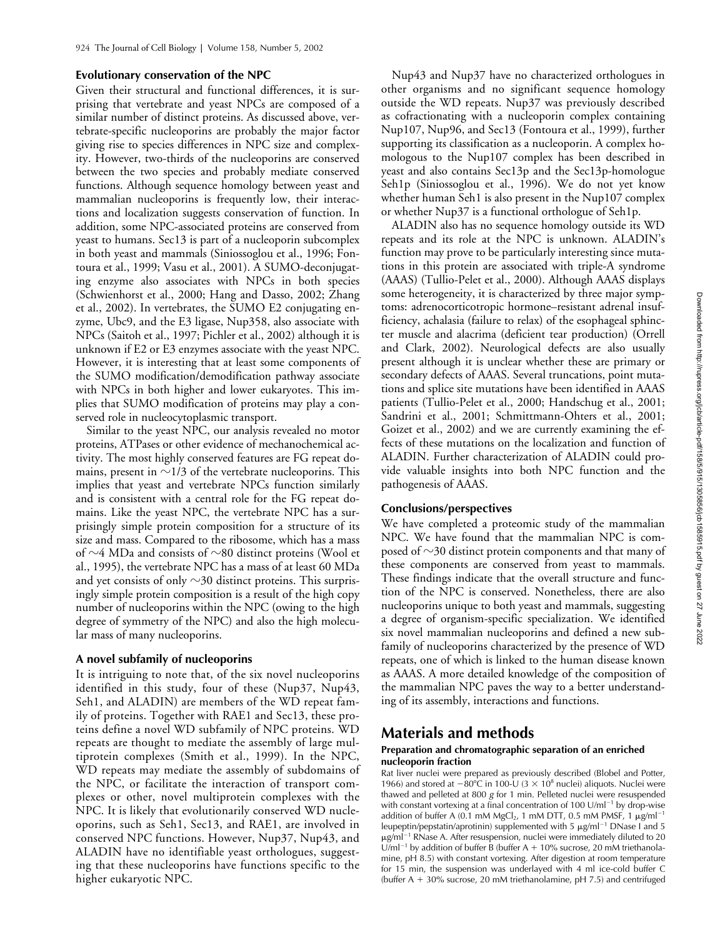## **Evolutionary conservation of the NPC**

Given their structural and functional differences, it is surprising that vertebrate and yeast NPCs are composed of a similar number of distinct proteins. As discussed above, vertebrate-specific nucleoporins are probably the major factor giving rise to species differences in NPC size and complexity. However, two-thirds of the nucleoporins are conserved between the two species and probably mediate conserved functions. Although sequence homology between yeast and mammalian nucleoporins is frequently low, their interactions and localization suggests conservation of function. In addition, some NPC-associated proteins are conserved from yeast to humans. Sec13 is part of a nucleoporin subcomplex in both yeast and mammals (Siniossoglou et al., 1996; Fontoura et al., 1999; Vasu et al., 2001). A SUMO-deconjugating enzyme also associates with NPCs in both species (Schwienhorst et al., 2000; Hang and Dasso, 2002; Zhang et al., 2002). In vertebrates, the SUMO E2 conjugating enzyme, Ubc9, and the E3 ligase, Nup358, also associate with NPCs (Saitoh et al., 1997; Pichler et al., 2002) although it is unknown if E2 or E3 enzymes associate with the yeast NPC. However, it is interesting that at least some components of the SUMO modification/demodification pathway associate with NPCs in both higher and lower eukaryotes. This implies that SUMO modification of proteins may play a conserved role in nucleocytoplasmic transport.

Similar to the yeast NPC, our analysis revealed no motor proteins, ATPases or other evidence of mechanochemical activity. The most highly conserved features are FG repeat domains, present in  ${\sim}$ 1/3 of the vertebrate nucleoporins. This implies that yeast and vertebrate NPCs function similarly and is consistent with a central role for the FG repeat domains. Like the yeast NPC, the vertebrate NPC has a surprisingly simple protein composition for a structure of its size and mass. Compared to the ribosome, which has a mass of  $\sim$ 4 MDa and consists of  $\sim$ 80 distinct proteins (Wool et al., 1995), the vertebrate NPC has a mass of at least 60 MDa and yet consists of only  $\sim$ 30 distinct proteins. This surprisingly simple protein composition is a result of the high copy number of nucleoporins within the NPC (owing to the high degree of symmetry of the NPC) and also the high molecular mass of many nucleoporins.

#### **A novel subfamily of nucleoporins**

It is intriguing to note that, of the six novel nucleoporins identified in this study, four of these (Nup37, Nup43, Seh1, and ALADIN) are members of the WD repeat family of proteins. Together with RAE1 and Sec13, these proteins define a novel WD subfamily of NPC proteins. WD repeats are thought to mediate the assembly of large multiprotein complexes (Smith et al., 1999). In the NPC, WD repeats may mediate the assembly of subdomains of the NPC, or facilitate the interaction of transport complexes or other, novel multiprotein complexes with the NPC. It is likely that evolutionarily conserved WD nucleoporins, such as Seh1, Sec13, and RAE1, are involved in conserved NPC functions. However, Nup37, Nup43, and ALADIN have no identifiable yeast orthologues, suggesting that these nucleoporins have functions specific to the higher eukaryotic NPC.

Nup43 and Nup37 have no characterized orthologues in other organisms and no significant sequence homology outside the WD repeats. Nup37 was previously described as cofractionating with a nucleoporin complex containing Nup107, Nup96, and Sec13 (Fontoura et al., 1999), further supporting its classification as a nucleoporin. A complex homologous to the Nup107 complex has been described in yeast and also contains Sec13p and the Sec13p-homologue Seh1p (Siniossoglou et al., 1996). We do not yet know whether human Seh1 is also present in the Nup107 complex or whether Nup37 is a functional orthologue of Seh1p.

ALADIN also has no sequence homology outside its WD repeats and its role at the NPC is unknown. ALADIN's function may prove to be particularly interesting since mutations in this protein are associated with triple-A syndrome (AAAS) (Tullio-Pelet et al., 2000). Although AAAS displays some heterogeneity, it is characterized by three major symptoms: adrenocorticotropic hormone–resistant adrenal insufficiency, achalasia (failure to relax) of the esophageal sphincter muscle and alacrima (deficient tear production) (Orrell and Clark, 2002). Neurological defects are also usually present although it is unclear whether these are primary or secondary defects of AAAS. Several truncations, point mutations and splice site mutations have been identified in AAAS patients (Tullio-Pelet et al., 2000; Handschug et al., 2001; Sandrini et al., 2001; Schmittmann-Ohters et al., 2001; Goizet et al., 2002) and we are currently examining the effects of these mutations on the localization and function of ALADIN. Further characterization of ALADIN could provide valuable insights into both NPC function and the pathogenesis of AAAS.

## **Conclusions/perspectives**

We have completed a proteomic study of the mammalian NPC. We have found that the mammalian NPC is composed of  $\sim$ 30 distinct protein components and that many of these components are conserved from yeast to mammals. These findings indicate that the overall structure and function of the NPC is conserved. Nonetheless, there are also nucleoporins unique to both yeast and mammals, suggesting a degree of organism-specific specialization. We identified six novel mammalian nucleoporins and defined a new subfamily of nucleoporins characterized by the presence of WD repeats, one of which is linked to the human disease known as AAAS. A more detailed knowledge of the composition of the mammalian NPC paves the way to a better understanding of its assembly, interactions and functions.

# **Materials and methods**

#### **Preparation and chromatographic separation of an enriched nucleoporin fraction**

Rat liver nuclei were prepared as previously described (Blobel and Potter, 1966) and stored at  $-80^{\circ}$ C in 100-U (3  $\times$  10<sup>8</sup> nuclei) aliquots. Nuclei were thawed and pelleted at 800 *g* for 1 min. Pelleted nuclei were resuspended with constant vortexing at a final concentration of  $100 \text{ U/ml}^{-1}$  by drop-wise addition of buffer A (0.1 mM MgCl<sub>2</sub>, 1 mM DTT, 0.5 mM PMSF, 1  $\mu$ g/ml<sup>-1</sup> leupeptin/pepstatin/aprotinin) supplemented with  $5 \mu g/ml^{-1}$  DNase I and  $5$  $\mu$ g/ml<sup>-1</sup> RNase A. After resuspension, nuclei were immediately diluted to 20 U/ml<sup>-1</sup> by addition of buffer B (buffer A + 10% sucrose, 20 mM triethanolamine, pH 8.5) with constant vortexing. After digestion at room temperature for 15 min, the suspension was underlayed with 4 ml ice-cold buffer C (buffer  $A + 30\%$  sucrose, 20 mM triethanolamine, pH 7.5) and centrifuged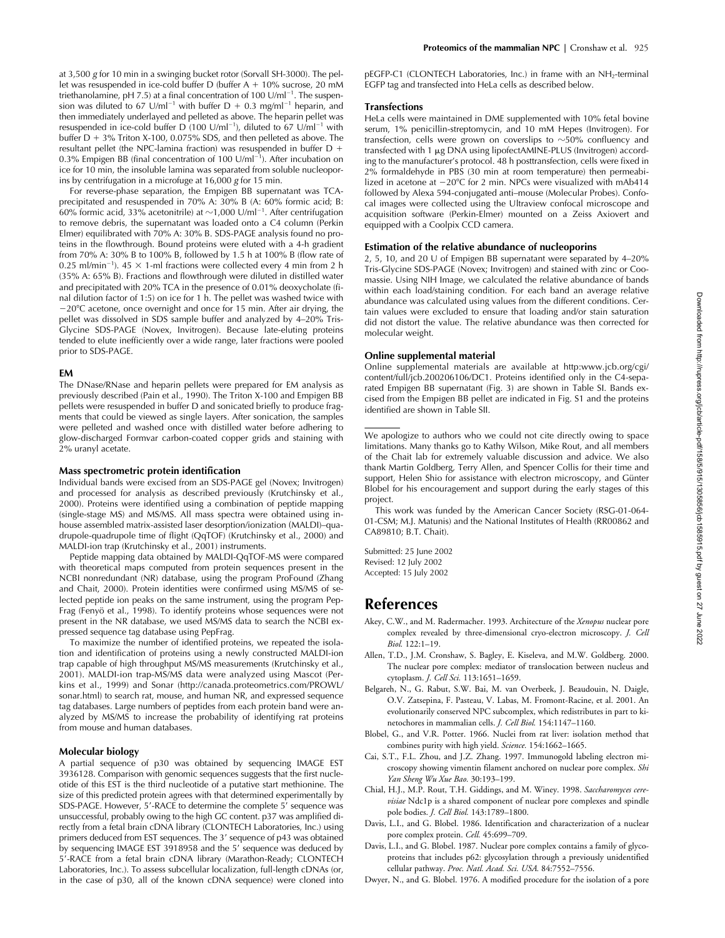at 3,500 *g* for 10 min in a swinging bucket rotor (Sorvall SH-3000). The pellet was resuspended in ice-cold buffer D (buffer  $A + 10\%$  sucrose, 20 mM triethanolamine, pH 7.5) at a final concentration of 100 U/ml $^{-1}$ . The suspension was diluted to 67 U/ml<sup>-1</sup> with buffer  $D + 0.3$  mg/ml<sup>-1</sup> heparin, and then immediately underlayed and pelleted as above. The heparin pellet was resuspended in ice-cold buffer D (100  $U/ml^{-1}$ ), diluted to 67  $U/ml^{-1}$  with buffer  $D + 3\%$  Triton X-100, 0.075% SDS, and then pelleted as above. The resultant pellet (the NPC-lamina fraction) was resuspended in buffer D 0.3% Empigen BB (final concentration of 100  $U/ml^{-1}$ ). After incubation on ice for 10 min, the insoluble lamina was separated from soluble nucleoporins by centrifugation in a microfuge at 16,000 *g* for 15 min.

For reverse-phase separation, the Empigen BB supernatant was TCAprecipitated and resuspended in 70% A: 30% B (A: 60% formic acid; B: 60% formic acid, 33% acetonitrile) at  $\sim$ 1,000 U/ml<sup>-1</sup>. After centrifugation to remove debris, the supernatant was loaded onto a C4 column (Perkin Elmer) equilibrated with 70% A: 30% B. SDS-PAGE analysis found no proteins in the flowthrough. Bound proteins were eluted with a 4-h gradient from 70% A: 30% B to 100% B, followed by 1.5 h at 100% B (flow rate of 0.25 ml/min<sup>-1</sup>).  $45 \times$  1-ml fractions were collected every 4 min from 2 h (35% A: 65% B). Fractions and flowthrough were diluted in distilled water and precipitated with 20% TCA in the presence of 0.01% deoxycholate (final dilution factor of 1:5) on ice for 1 h. The pellet was washed twice with -20°C acetone, once overnight and once for 15 min. After air drying, the pellet was dissolved in SDS sample buffer and analyzed by 4-20% Tris-Glycine SDS-PAGE (Novex, Invitrogen). Because late-eluting proteins tended to elute inefficiently over a wide range, later fractions were pooled prior to SDS-PAGE.

#### **EM**

The DNase/RNase and heparin pellets were prepared for EM analysis as previously described (Pain et al., 1990). The Triton X-100 and Empigen BB pellets were resuspended in buffer D and sonicated briefly to produce fragments that could be viewed as single layers. After sonication, the samples were pelleted and washed once with distilled water before adhering to glow-discharged Formvar carbon-coated copper grids and staining with 2% uranyl acetate.

#### **Mass spectrometric protein identification**

Individual bands were excised from an SDS-PAGE gel (Novex; Invitrogen) and processed for analysis as described previously (Krutchinsky et al., 2000). Proteins were identified using a combination of peptide mapping (single-stage MS) and MS/MS. All mass spectra were obtained using inhouse assembled matrix-assisted laser desorption/ionization (MALDI)–quadrupole-quadrupole time of flight (QqTOF) (Krutchinsky et al., 2000) and MALDI-ion trap (Krutchinsky et al., 2001) instruments.

Peptide mapping data obtained by MALDI-QqTOF-MS were compared with theoretical maps computed from protein sequences present in the NCBI nonredundant (NR) database, using the program ProFound (Zhang and Chait, 2000). Protein identities were confirmed using MS/MS of selected peptide ion peaks on the same instrument, using the program Pep-Frag (Fenyö et al., 1998). To identify proteins whose sequences were not present in the NR database, we used MS/MS data to search the NCBI expressed sequence tag database using PepFrag.

To maximize the number of identified proteins, we repeated the isolation and identification of proteins using a newly constructed MALDI-ion trap capable of high throughput MS/MS measurements (Krutchinsky et al., 2001). MALDI-ion trap-MS/MS data were analyzed using Mascot (Perkins et al., 1999) and Sonar (http://canada.proteometrics.com/PROWL/ sonar.html) to search rat, mouse, and human NR, and expressed sequence tag databases. Large numbers of peptides from each protein band were analyzed by MS/MS to increase the probability of identifying rat proteins from mouse and human databases.

#### **Molecular biology**

A partial sequence of p30 was obtained by sequencing IMAGE EST 3936128. Comparison with genomic sequences suggests that the first nucleotide of this EST is the third nucleotide of a putative start methionine. The size of this predicted protein agrees with that determined experimentally by SDS-PAGE. However, 5'-RACE to determine the complete 5' sequence was unsuccessful, probably owing to the high GC content. p37 was amplified directly from a fetal brain cDNA library (CLONTECH Laboratories, Inc.) using primers deduced from EST sequences. The 3' sequence of p43 was obtained by sequencing IMAGE EST 3918958 and the 5' sequence was deduced by 5'-RACE from a fetal brain cDNA library (Marathon-Ready; CLONTECH Laboratories, Inc.). To assess subcellular localization, full-length cDNAs (or, in the case of p30, all of the known cDNA sequence) were cloned into pEGFP-C1 (CLONTECH Laboratories, Inc.) in frame with an NH2-terminal EGFP tag and transfected into HeLa cells as described below.

#### **Transfections**

HeLa cells were maintained in DME supplemented with 10% fetal bovine serum, 1% penicillin-streptomycin, and 10 mM Hepes (Invitrogen). For transfection, cells were grown on coverslips to  $\sim$ 50% confluency and transfected with 1 µg DNA using lipofectAMINE-PLUS (Invitrogen) according to the manufacturer's protocol. 48 h posttransfection, cells were fixed in 2% formaldehyde in PBS (30 min at room temperature) then permeabilized in acetone at  $-20^{\circ}$ C for 2 min. NPCs were visualized with mAb414 followed by Alexa 594-conjugated anti–mouse (Molecular Probes). Confocal images were collected using the Ultraview confocal microscope and acquisition software (Perkin-Elmer) mounted on a Zeiss Axiovert and equipped with a Coolpix CCD camera.

#### **Estimation of the relative abundance of nucleoporins**

2, 5, 10, and 20 U of Empigen BB supernatant were separated by 4–20% Tris-Glycine SDS-PAGE (Novex; Invitrogen) and stained with zinc or Coomassie. Using NIH Image, we calculated the relative abundance of bands within each load/staining condition. For each band an average relative abundance was calculated using values from the different conditions. Certain values were excluded to ensure that loading and/or stain saturation did not distort the value. The relative abundance was then corrected for molecular weight.

#### **Online supplemental material**

Online supplemental materials are available at http:www.jcb.org/cgi/ content/full/jcb.200206106/DC1. Proteins identified only in the C4-separated Empigen BB supernatant (Fig. 3) are shown in Table SI. Bands excised from the Empigen BB pellet are indicated in Fig. S1 and the proteins identified are shown in Table SII.

We apologize to authors who we could not cite directly owing to space limitations. Many thanks go to Kathy Wilson, Mike Rout, and all members of the Chait lab for extremely valuable discussion and advice. We also thank Martin Goldberg, Terry Allen, and Spencer Collis for their time and support, Helen Shio for assistance with electron microscopy, and Günter Blobel for his encouragement and support during the early stages of this project.

This work was funded by the American Cancer Society (RSG-01-064- 01-CSM; M.J. Matunis) and the National Institutes of Health (RR00862 and CA89810; B.T. Chait).

Submitted: 25 June 2002 Revised: 12 July 2002 Accepted: 15 July 2002

# **References**

- Akey, C.W., and M. Radermacher. 1993. Architecture of the *Xenopus* nuclear pore complex revealed by three-dimensional cryo-electron microscopy. *J. Cell Biol.* 122:1–19.
- Allen, T.D., J.M. Cronshaw, S. Bagley, E. Kiseleva, and M.W. Goldberg. 2000. The nuclear pore complex: mediator of translocation between nucleus and cytoplasm. *J. Cell Sci.* 113:1651–1659.
- Belgareh, N., G. Rabut, S.W. Bai, M. van Overbeek, J. Beaudouin, N. Daigle, O.V. Zatsepina, F. Pasteau, V. Labas, M. Fromont-Racine, et al. 2001. An evolutionarily conserved NPC subcomplex, which redistributes in part to kinetochores in mammalian cells. *J. Cell Biol.* 154:1147–1160.
- Blobel, G., and V.R. Potter. 1966. Nuclei from rat liver: isolation method that combines purity with high yield. *Science.* 154:1662–1665.
- Cai, S.T., F.L. Zhou, and J.Z. Zhang. 1997. Immunogold labeling electron microscopy showing vimentin filament anchored on nuclear pore complex. *Shi Yan Sheng Wu Xue Bao.* 30:193–199.
- Chial, H.J., M.P. Rout, T.H. Giddings, and M. Winey. 1998. *Saccharomyces cerevisiae* Ndc1p is a shared component of nuclear pore complexes and spindle pole bodies. *J. Cell Biol.* 143:1789–1800.
- Davis, L.I., and G. Blobel. 1986. Identification and characterization of a nuclear pore complex protein. *Cell.* 45:699–709.
- Davis, L.I., and G. Blobel. 1987. Nuclear pore complex contains a family of glycoproteins that includes p62: glycosylation through a previously unidentified cellular pathway. *Proc. Natl. Acad. Sci. USA.* 84:7552–7556.
- Dwyer, N., and G. Blobel. 1976. A modified procedure for the isolation of a pore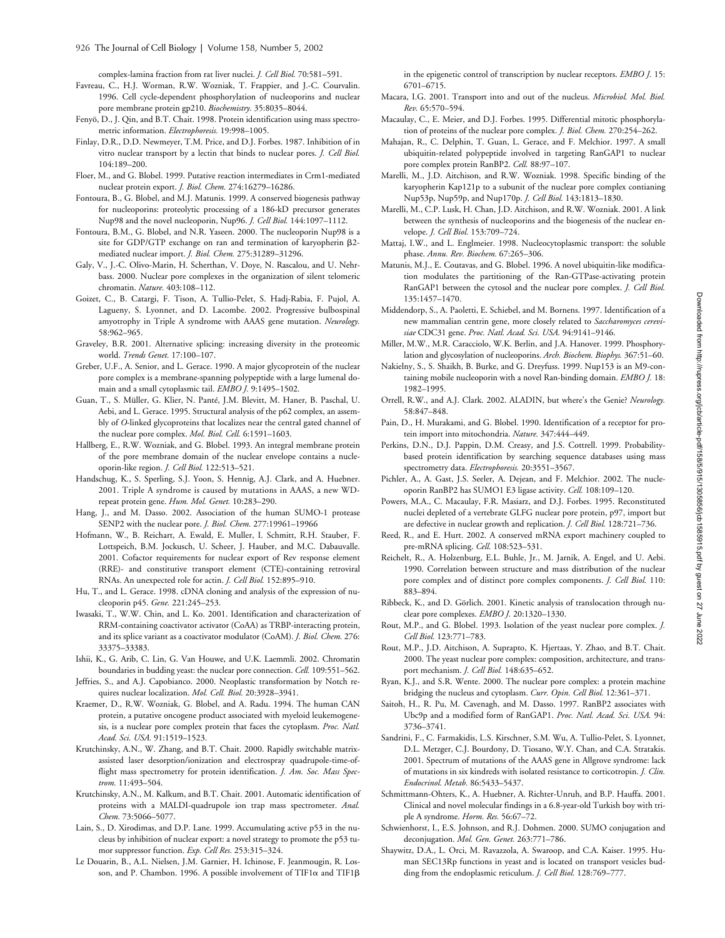complex-lamina fraction from rat liver nuclei. *J. Cell Biol.* 70:581–591.

- Favreau, C., H.J. Worman, R.W. Wozniak, T. Frappier, and J.-C. Courvalin. 1996. Cell cycle-dependent phosphorylation of nucleoporins and nuclear pore membrane protein gp210. *Biochemistry.* 35:8035–8044.
- Fenyö, D., J. Qin, and B.T. Chait. 1998. Protein identification using mass spectrometric information. *Electrophoresis.* 19:998–1005.
- Finlay, D.R., D.D. Newmeyer, T.M. Price, and D.J. Forbes. 1987. Inhibition of in vitro nuclear transport by a lectin that binds to nuclear pores. *J. Cell Biol.* 104:189–200.
- Floer, M., and G. Blobel. 1999. Putative reaction intermediates in Crm1-mediated nuclear protein export. *J. Biol. Chem.* 274:16279–16286.
- Fontoura, B., G. Blobel, and M.J. Matunis. 1999. A conserved biogenesis pathway for nucleoporins: proteolytic processing of a 186-kD precursor generates Nup98 and the novel nucleoporin, Nup96. *J. Cell Biol.* 144:1097–1112.
- Fontoura, B.M., G. Blobel, and N.R. Yaseen. 2000. The nucleoporin Nup98 is a site for GDP/GTP exchange on ran and termination of karyopherin 2 mediated nuclear import. *J. Biol. Chem.* 275:31289–31296.
- Galy, V., J.-C. Olivo-Marin, H. Scherthan, V. Doye, N. Rascalou, and U. Nehrbass. 2000. Nuclear pore complexes in the organization of silent telomeric chromatin. *Nature.* 403:108–112.
- Goizet, C., B. Catargi, F. Tison, A. Tullio-Pelet, S. Hadj-Rabia, F. Pujol, A. Lagueny, S. Lyonnet, and D. Lacombe. 2002. Progressive bulbospinal amyotrophy in Triple A syndrome with AAAS gene mutation. *Neurology.* 58:962–965.
- Graveley, B.R. 2001. Alternative splicing: increasing diversity in the proteomic world. *Trends Genet.* 17:100–107.
- Greber, U.F., A. Senior, and L. Gerace. 1990. A major glycoprotein of the nuclear pore complex is a membrane-spanning polypeptide with a large lumenal domain and a small cytoplasmic tail. *EMBO J.* 9:1495–1502.
- Guan, T., S. Müller, G. Klier, N. Panté, J.M. Blevitt, M. Haner, B. Paschal, U. Aebi, and L. Gerace. 1995. Structural analysis of the p62 complex, an assembly of *O*-linked glycoproteins that localizes near the central gated channel of the nuclear pore complex. *Mol. Biol. Cell.* 6:1591–1603.
- Hallberg, E., R.W. Wozniak, and G. Blobel. 1993. An integral membrane protein of the pore membrane domain of the nuclear envelope contains a nucleoporin-like region. *J. Cell Biol.* 122:513–521.
- Handschug, K., S. Sperling, S.J. Yoon, S. Hennig, A.J. Clark, and A. Huebner. 2001. Triple A syndrome is caused by mutations in AAAS, a new WDrepeat protein gene. *Hum. Mol. Genet.* 10:283–290.
- Hang, J., and M. Dasso. 2002. Association of the human SUMO-1 protease SENP2 with the nuclear pore. *J. Biol. Chem.* 277:19961–19966
- Hofmann, W., B. Reichart, A. Ewald, E. Muller, I. Schmitt, R.H. Stauber, F. Lottspeich, B.M. Jockusch, U. Scheer, J. Hauber, and M.C. Dabauvalle. 2001. Cofactor requirements for nuclear export of Rev response element (RRE)- and constitutive transport element (CTE)-containing retroviral RNAs. An unexpected role for actin. *J. Cell Biol.* 152:895–910.
- Hu, T., and L. Gerace. 1998. cDNA cloning and analysis of the expression of nucleoporin p45. *Gene.* 221:245–253.
- Iwasaki, T., W.W. Chin, and L. Ko. 2001. Identification and characterization of RRM-containing coactivator activator (CoAA) as TRBP-interacting protein, and its splice variant as a coactivator modulator (CoAM). *J. Biol. Chem.* 276: 33375–33383.
- Ishii, K., G. Arib, C. Lin, G. Van Houwe, and U.K. Laemmli. 2002. Chromatin boundaries in budding yeast: the nuclear pore connection. *Cell.* 109:551–562.
- Jeffries, S., and A.J. Capobianco. 2000. Neoplastic transformation by Notch requires nuclear localization. *Mol. Cell. Biol.* 20:3928–3941.
- Kraemer, D., R.W. Wozniak, G. Blobel, and A. Radu. 1994. The human CAN protein, a putative oncogene product associated with myeloid leukemogenesis, is a nuclear pore complex protein that faces the cytoplasm. *Proc. Natl. Acad. Sci. USA.* 91:1519–1523.
- Krutchinsky, A.N., W. Zhang, and B.T. Chait. 2000. Rapidly switchable matrixassisted laser desorption/ionization and electrospray quadrupole-time-offlight mass spectrometry for protein identification. *J. Am. Soc. Mass Spectrom.* 11:493–504.
- Krutchinsky, A.N., M. Kalkum, and B.T. Chait. 2001. Automatic identification of proteins with a MALDI-quadrupole ion trap mass spectrometer. *Anal. Chem.* 73:5066–5077.
- Lain, S., D. Xirodimas, and D.P. Lane. 1999. Accumulating active p53 in the nucleus by inhibition of nuclear export: a novel strategy to promote the p53 tumor suppressor function. *Exp. Cell Res.* 253:315–324.
- Le Douarin, B., A.L. Nielsen, J.M. Garnier, H. Ichinose, F. Jeanmougin, R. Losson, and P. Chambon. 1996. A possible involvement of TIF1 $\alpha$  and TIF1 $\beta$

in the epigenetic control of transcription by nuclear receptors. *EMBO J.* 15: 6701–6715.

- Macara, I.G. 2001. Transport into and out of the nucleus. *Microbiol. Mol. Biol. Rev.* 65:570–594.
- Macaulay, C., E. Meier, and D.J. Forbes. 1995. Differential mitotic phosphorylation of proteins of the nuclear pore complex. *J. Biol. Chem.* 270:254–262.
- Mahajan, R., C. Delphin, T. Guan, L. Gerace, and F. Melchior. 1997. A small ubiquitin-related polypeptide involved in targeting RanGAP1 to nuclear pore complex protein RanBP2. *Cell.* 88:97–107.
- Marelli, M., J.D. Aitchison, and R.W. Wozniak. 1998. Specific binding of the karyopherin Kap121p to a subunit of the nuclear pore complex contianing Nup53p, Nup59p, and Nup170p. *J. Cell Biol.* 143:1813–1830.
- Marelli, M., C.P. Lusk, H. Chan, J.D. Aitchison, and R.W. Wozniak. 2001. A link between the synthesis of nucleoporins and the biogenesis of the nuclear envelope. *J. Cell Biol.* 153:709–724.
- Mattaj, I.W., and L. Englmeier. 1998. Nucleocytoplasmic transport: the soluble phase. *Annu. Rev. Biochem.* 67:265–306.
- Matunis, M.J., E. Coutavas, and G. Blobel. 1996. A novel ubiquitin-like modification modulates the partitioning of the Ran-GTPase-activating protein RanGAP1 between the cytosol and the nuclear pore complex. *J. Cell Biol.* 135:1457–1470.
- Middendorp, S., A. Paoletti, E. Schiebel, and M. Bornens. 1997. Identification of a new mammalian centrin gene, more closely related to *Saccharomyces cerevisiae* CDC31 gene. *Proc. Natl. Acad. Sci. USA.* 94:9141–9146.
- Miller, M.W., M.R. Caracciolo, W.K. Berlin, and J.A. Hanover. 1999. Phosphorylation and glycosylation of nucleoporins. *Arch. Biochem. Biophys.* 367:51–60.
- Nakielny, S., S. Shaikh, B. Burke, and G. Dreyfuss. 1999. Nup153 is an M9-containing mobile nucleoporin with a novel Ran-binding domain. *EMBO J.* 18: 1982–1995.
- Orrell, R.W., and A.J. Clark. 2002. ALADIN, but where's the Genie? *Neurology.* 58:847–848.
- Pain, D., H. Murakami, and G. Blobel. 1990. Identification of a receptor for protein import into mitochondria. *Nature.* 347:444–449.
- Perkins, D.N., D.J. Pappin, D.M. Creasy, and J.S. Cottrell. 1999. Probabilitybased protein identification by searching sequence databases using mass spectrometry data. *Electrophoresis.* 20:3551–3567.
- Pichler, A., A. Gast, J.S. Seeler, A. Dejean, and F. Melchior. 2002. The nucleoporin RanBP2 has SUMO1 E3 ligase activity. *Cell.* 108:109–120.
- Powers, M.A., C. Macaulay, F.R. Masiarz, and D.J. Forbes. 1995. Reconstituted nuclei depleted of a vertebrate GLFG nuclear pore protein, p97, import but are defective in nuclear growth and replication. *J. Cell Biol.* 128:721–736.
- Reed, R., and E. Hurt. 2002. A conserved mRNA export machinery coupled to pre-mRNA splicing. *Cell.* 108:523–531.
- Reichelt, R., A. Holzenburg, E.L. Buhle, Jr., M. Jarnik, A. Engel, and U. Aebi. 1990. Correlation between structure and mass distribution of the nuclear pore complex and of distinct pore complex components. *J. Cell Biol.* 110: 883–894.
- Ribbeck, K., and D. Görlich. 2001. Kinetic analysis of translocation through nuclear pore complexes. *EMBO J.* 20:1320–1330.
- Rout, M.P., and G. Blobel. 1993. Isolation of the yeast nuclear pore complex. *J. Cell Biol.* 123:771–783.
- Rout, M.P., J.D. Aitchison, A. Suprapto, K. Hjertaas, Y. Zhao, and B.T. Chait. 2000. The yeast nuclear pore complex: composition, architecture, and transport mechanism. *J. Cell Biol.* 148:635–652.
- Ryan, K.J., and S.R. Wente. 2000. The nuclear pore complex: a protein machine bridging the nucleus and cytoplasm. *Curr. Opin. Cell Biol.* 12:361–371.
- Saitoh, H., R. Pu, M. Cavenagh, and M. Dasso. 1997. RanBP2 associates with Ubc9p and a modified form of RanGAP1. *Proc. Natl. Acad. Sci. USA.* 94: 3736–3741.
- Sandrini, F., C. Farmakidis, L.S. Kirschner, S.M. Wu, A. Tullio-Pelet, S. Lyonnet, D.L. Metzger, C.J. Bourdony, D. Tiosano, W.Y. Chan, and C.A. Stratakis. 2001. Spectrum of mutations of the AAAS gene in Allgrove syndrome: lack of mutations in six kindreds with isolated resistance to corticotropin. *J. Clin. Endocrinol. Metab.* 86:5433–5437.
- Schmittmann-Ohters, K., A. Huebner, A. Richter-Unruh, and B.P. Hauffa. 2001. Clinical and novel molecular findings in a 6.8-year-old Turkish boy with triple A syndrome. *Horm. Res.* 56:67–72.
- Schwienhorst, I., E.S. Johnson, and R.J. Dohmen. 2000. SUMO conjugation and deconjugation. *Mol. Gen. Genet.* 263:771–786.
- Shaywitz, D.A., L. Orci, M. Ravazzola, A. Swaroop, and C.A. Kaiser. 1995. Human SEC13Rp functions in yeast and is located on transport vesicles budding from the endoplasmic reticulum. *J. Cell Biol.* 128:769–777.